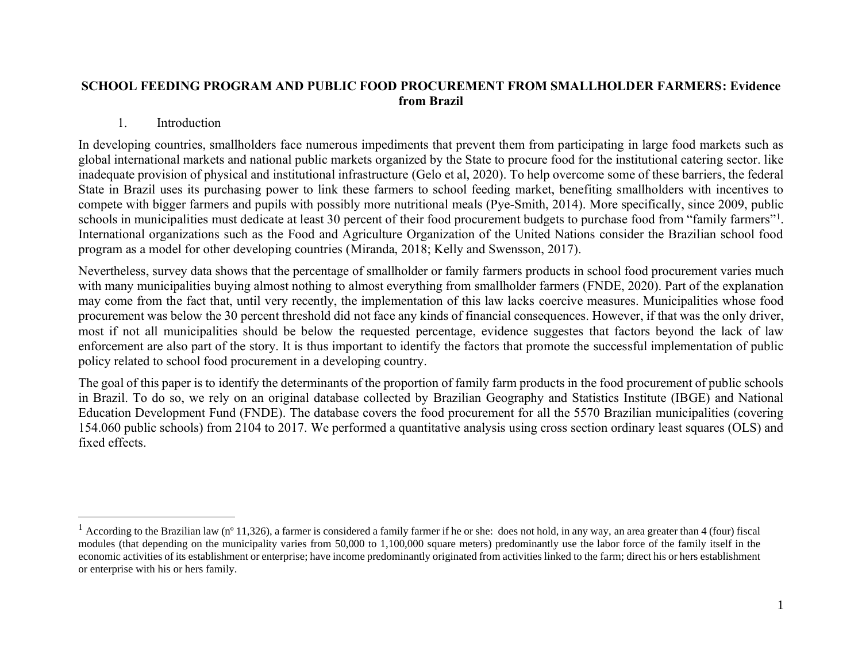#### **SCHOOL FEEDING PROGRAM AND PUBLIC FOOD PROCUREMENT FROM SMALLHOLDER FARMERS: Evidence from Brazil**

#### 1. Introduction

In developing countries, smallholders face numerous impediments that prevent them from participating in large food markets such as global international markets and national public markets organized by the State to procure food for the institutional catering sector. like inadequate provision of physical and institutional infrastructure (Gelo et al, 2020). To help overcome some of these barriers, the federal State in Brazil uses its purchasing power to link these farmers to school feeding market, benefiting smallholders with incentives to compete with bigger farmers and pupils with possibly more nutritional meals (Pye-Smith, 2014). More specifically, since 2009, public schools in municipalities must dedicate at least 30 percent of their food procurement budgets to purchase food from "family farmers"<sup>1</sup>. International organizations such as the Food and Agriculture Organization of the United Nations consider the Brazilian school food program as a model for other developing countries (Miranda, 2018; Kelly and Swensson, 2017).

Nevertheless, survey data shows that the percentage of smallholder or family farmers products in school food procurement varies much with many municipalities buying almost nothing to almost everything from smallholder farmers (FNDE, 2020). Part of the explanation may come from the fact that, until very recently, the implementation of this law lacks coercive measures. Municipalities whose food procurement was below the 30 percent threshold did not face any kinds of financial consequences. However, if that was the only driver, most if not all municipalities should be below the requested percentage, evidence suggestes that factors beyond the lack of law enforcement are also part of the story. It is thus important to identify the factors that promote the successful implementation of public policy related to school food procurement in a developing country.

The goal of this paper is to identify the determinants of the proportion of family farm products in the food procurement of public schools in Brazil. To do so, we rely on an original database collected by Brazilian Geography and Statistics Institute (IBGE) and National Education Development Fund (FNDE). The database covers the food procurement for all the 5570 Brazilian municipalities (covering 154.060 public schools) from 2104 to 2017. We performed a quantitative analysis using cross section ordinary least squares (OLS) and fixed effects.

<sup>&</sup>lt;sup>1</sup> According to the Brazilian law (n<sup>o</sup> 11,326), a farmer is considered a family farmer if he or she: does not hold, in any way, an area greater than 4 (four) fiscal modules (that depending on the municipality varies from 50,000 to 1,100,000 square meters) predominantly use the labor force of the family itself in the economic activities of its establishment or enterprise; have income predominantly originated from activities linked to the farm; direct his or hers establishment or enterprise with his or hers family.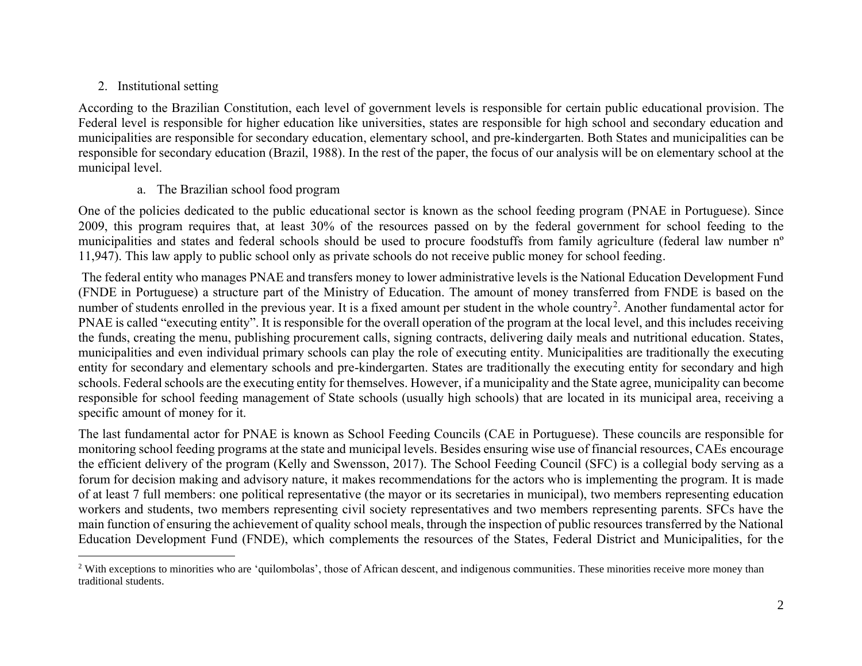# 2. Institutional setting

According to the Brazilian Constitution, each level of government levels is responsible for certain public educational provision. The Federal level is responsible for higher education like universities, states are responsible for high school and secondary education and municipalities are responsible for secondary education, elementary school, and pre-kindergarten. Both States and municipalities can be responsible for secondary education (Brazil, 1988). In the rest of the paper, the focus of our analysis will be on elementary school at the municipal level.

#### a. The Brazilian school food program

One of the policies dedicated to the public educational sector is known as the school feeding program (PNAE in Portuguese). Since 2009, this program requires that, at least 30% of the resources passed on by the federal government for school feeding to the municipalities and states and federal schools should be used to procure foodstuffs from family agriculture (federal law number nº 11,947). This law apply to public school only as private schools do not receive public money for school feeding.

The federal entity who manages PNAE and transfers money to lower administrative levels is the National Education Development Fund (FNDE in Portuguese) a structure part of the Ministry of Education. The amount of money transferred from FNDE is based on the number of students enrolled in the previous year. It is a fixed amount per student in the whole country<sup>2</sup>. Another fundamental actor for PNAE is called "executing entity". It is responsible for the overall operation of the program at the local level, and this includes receiving the funds, creating the menu, publishing procurement calls, signing contracts, delivering daily meals and nutritional education. States, municipalities and even individual primary schools can play the role of executing entity. Municipalities are traditionally the executing entity for secondary and elementary schools and pre-kindergarten. States are traditionally the executing entity for secondary and high schools. Federal schools are the executing entity for themselves. However, if a municipality and the State agree, municipality can become responsible for school feeding management of State schools (usually high schools) that are located in its municipal area, receiving a specific amount of money for it.

The last fundamental actor for PNAE is known as School Feeding Councils (CAE in Portuguese). These councils are responsible for monitoring school feeding programs at the state and municipal levels. Besides ensuring wise use of financial resources, CAEs encourage the efficient delivery of the program (Kelly and Swensson, 2017). The School Feeding Council (SFC) is a collegial body serving as a forum for decision making and advisory nature, it makes recommendations for the actors who is implementing the program. It is made of at least 7 full members: one political representative (the mayor or its secretaries in municipal), two members representing education workers and students, two members representing civil society representatives and two members representing parents. SFCs have the main function of ensuring the achievement of quality school meals, through the inspection of public resources transferred by the National Education Development Fund (FNDE), which complements the resources of the States, Federal District and Municipalities, for the

<sup>&</sup>lt;sup>2</sup> With exceptions to minorities who are 'quilombolas', those of African descent, and indigenous communities. These minorities receive more money than traditional students.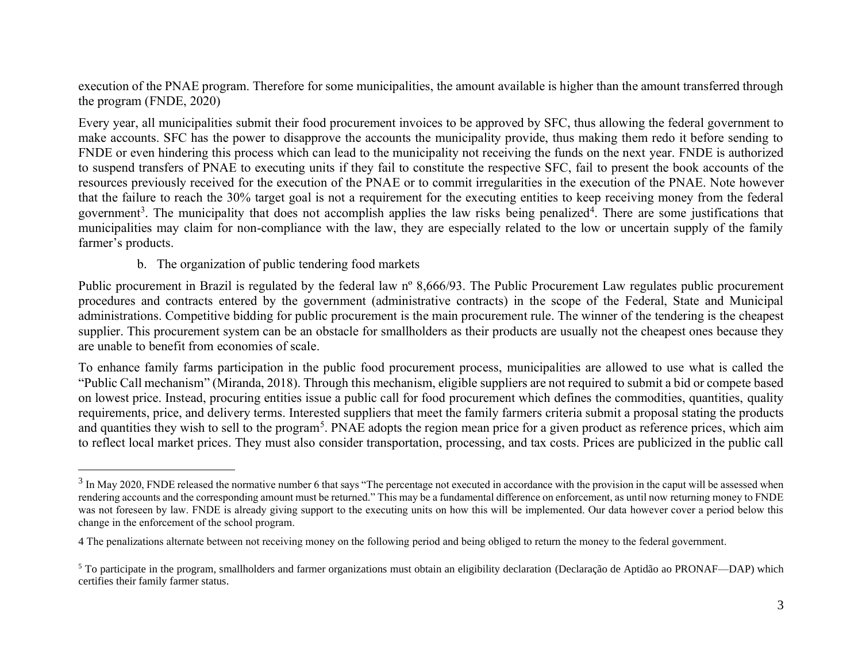execution of the PNAE program. Therefore for some municipalities, the amount available is higher than the amount transferred through the program (FNDE, 2020)

Every year, all municipalities submit their food procurement invoices to be approved by SFC, thus allowing the federal government to make accounts. SFC has the power to disapprove the accounts the municipality provide, thus making them redo it before sending to FNDE or even hindering this process which can lead to the municipality not receiving the funds on the next year. FNDE is authorized to suspend transfers of PNAE to executing units if they fail to constitute the respective SFC, fail to present the book accounts of the resources previously received for the execution of the PNAE or to commit irregularities in the execution of the PNAE. Note however that the failure to reach the 30% target goal is not a requirement for the executing entities to keep receiving money from the federal government<sup>3</sup>. The municipality that does not accomplish applies the law risks being penalized<sup>4</sup>. There are some justifications that municipalities may claim for non-compliance with the law, they are especially related to the low or uncertain supply of the family farmer's products.

#### b. The organization of public tendering food markets

Public procurement in Brazil is regulated by the federal law nº 8,666/93. The Public Procurement Law regulates public procurement procedures and contracts entered by the government (administrative contracts) in the scope of the Federal, State and Municipal administrations. Competitive bidding for public procurement is the main procurement rule. The winner of the tendering is the cheapest supplier. This procurement system can be an obstacle for smallholders as their products are usually not the cheapest ones because they are unable to benefit from economies of scale.

To enhance family farms participation in the public food procurement process, municipalities are allowed to use what is called the "Public Call mechanism" (Miranda, 2018). Through this mechanism, eligible suppliers are not required to submit a bid or compete based on lowest price. Instead, procuring entities issue a public call for food procurement which defines the commodities, quantities, quality requirements, price, and delivery terms. Interested suppliers that meet the family farmers criteria submit a proposal stating the products and quantities they wish to sell to the program<sup>5</sup>. PNAE adopts the region mean price for a given product as reference prices, which aim to reflect local market prices. They must also consider transportation, processing, and tax costs. Prices are publicized in the public call

 $3$  In May 2020, FNDE released the normative number 6 that says "The percentage not executed in accordance with the provision in the caput will be assessed when rendering accounts and the corresponding amount must be returned." This may be a fundamental difference on enforcement, as until now returning money to FNDE was not foreseen by law. FNDE is already giving support to the executing units on how this will be implemented. Our data however cover a period below this change in the enforcement of the school program.

<sup>4</sup> The penalizations alternate between not receiving money on the following period and being obliged to return the money to the federal government.

<sup>5</sup> To participate in the program, smallholders and farmer organizations must obtain an eligibility declaration (Declaração de Aptidão ao PRONAF—DAP) which certifies their family farmer status.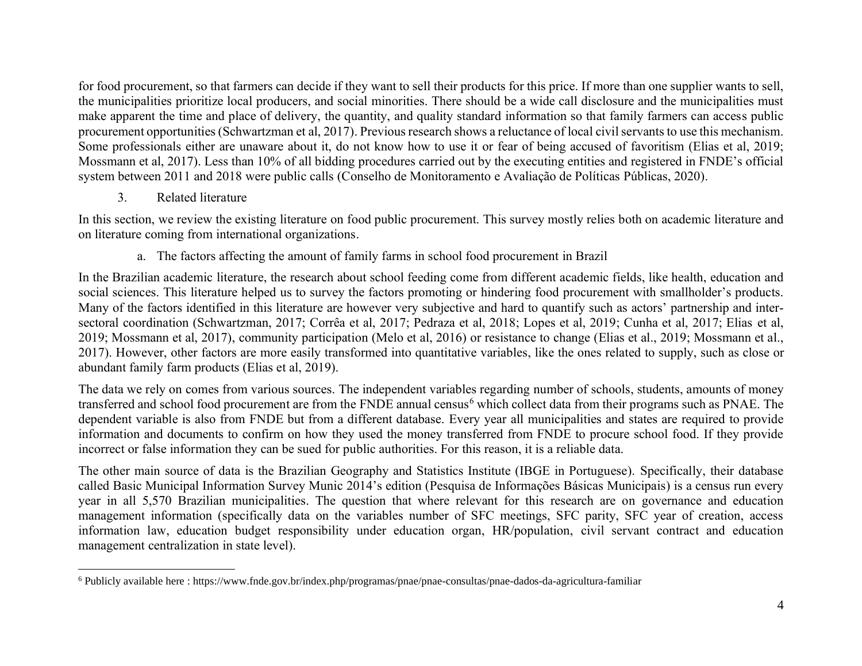for food procurement, so that farmers can decide if they want to sell their products for this price. If more than one supplier wants to sell, the municipalities prioritize local producers, and social minorities. There should be a wide call disclosure and the municipalities must make apparent the time and place of delivery, the quantity, and quality standard information so that family farmers can access public procurement opportunities (Schwartzman et al, 2017). Previous research shows a reluctance of local civil servants to use this mechanism. Some professionals either are unaware about it, do not know how to use it or fear of being accused of favoritism (Elias et al, 2019; Mossmann et al, 2017). Less than 10% of all bidding procedures carried out by the executing entities and registered in FNDE's official system between 2011 and 2018 were public calls (Conselho de Monitoramento e Avaliação de Políticas Públicas, 2020).

# 3. Related literature

In this section, we review the existing literature on food public procurement. This survey mostly relies both on academic literature and on literature coming from international organizations.

# a. The factors affecting the amount of family farms in school food procurement in Brazil

In the Brazilian academic literature, the research about school feeding come from different academic fields, like health, education and social sciences. This literature helped us to survey the factors promoting or hindering food procurement with smallholder's products. Many of the factors identified in this literature are however very subjective and hard to quantify such as actors' partnership and intersectoral coordination (Schwartzman, 2017; Corrêa et al, 2017; Pedraza et al, 2018; Lopes et al, 2019; Cunha et al, 2017; Elias et al, 2019; Mossmann et al, 2017), community participation (Melo et al, 2016) or resistance to change (Elias et al., 2019; Mossmann et al., 2017). However, other factors are more easily transformed into quantitative variables, like the ones related to supply, such as close or abundant family farm products (Elias et al, 2019).

The data we rely on comes from various sources. The independent variables regarding number of schools, students, amounts of money transferred and school food procurement are from the FNDE annual census<sup>6</sup> which collect data from their programs such as PNAE. The dependent variable is also from FNDE but from a different database. Every year all municipalities and states are required to provide information and documents to confirm on how they used the money transferred from FNDE to procure school food. If they provide incorrect or false information they can be sued for public authorities. For this reason, it is a reliable data.

The other main source of data is the Brazilian Geography and Statistics Institute (IBGE in Portuguese). Specifically, their database called Basic Municipal Information Survey Munic 2014's edition (Pesquisa de Informações Básicas Municipais) is a census run every year in all 5,570 Brazilian municipalities. The question that where relevant for this research are on governance and education management information (specifically data on the variables number of SFC meetings, SFC parity, SFC year of creation, access information law, education budget responsibility under education organ, HR/population, civil servant contract and education management centralization in state level).

<sup>6</sup> Publicly available here : https://www.fnde.gov.br/index.php/programas/pnae/pnae-consultas/pnae-dados-da-agricultura-familiar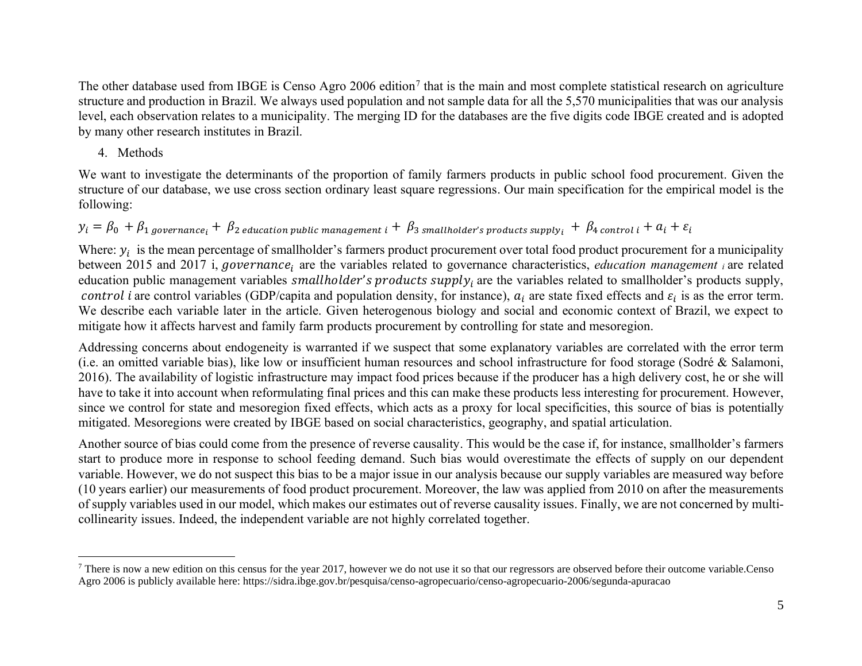The other database used from IBGE is Censo Agro 2006 edition<sup>7</sup> that is the main and most complete statistical research on agriculture structure and production in Brazil. We always used population and not sample data for all the 5,570 municipalities that was our analysis level, each observation relates to a municipality. The merging ID for the databases are the five digits code IBGE created and is adopted by many other research institutes in Brazil.

# 4. Methods

We want to investigate the determinants of the proportion of family farmers products in public school food procurement. Given the structure of our database, we use cross section ordinary least square regressions. Our main specification for the empirical model is the following:

# $y_i = \beta_0 + \beta_1$  aovernance;  $+ \beta_2$  education public management  $i + \beta_3$  smallholder's products supply;  $+ \beta_4$  control  $i + a_i + \varepsilon_i$

Where:  $y_i$  is the mean percentage of smallholder's farmers product procurement over total food product procurement for a municipality between 2015 and 2017 i, *governance*; are the variables related to governance characteristics, *education management i* are related education public management variables smallholder's products supply, are the variables related to smallholder's products supply, control *i* are control variables (GDP/capita and population density, for instance),  $a_i$  are state fixed effects and  $\varepsilon_i$  is as the error term. We describe each variable later in the article. Given heterogenous biology and social and economic context of Brazil, we expect to mitigate how it affects harvest and family farm products procurement by controlling for state and mesoregion.

Addressing concerns about endogeneity is warranted if we suspect that some explanatory variables are correlated with the error term (i.e. an omitted variable bias), like low or insufficient human resources and school infrastructure for food storage (Sodré & Salamoni, 2016). The availability of logistic infrastructure may impact food prices because if the producer has a high delivery cost, he or she will have to take it into account when reformulating final prices and this can make these products less interesting for procurement. However, since we control for state and mesoregion fixed effects, which acts as a proxy for local specificities, this source of bias is potentially mitigated. Mesoregions were created by IBGE based on social characteristics, geography, and spatial articulation.

Another source of bias could come from the presence of reverse causality. This would be the case if, for instance, smallholder's farmers start to produce more in response to school feeding demand. Such bias would overestimate the effects of supply on our dependent variable. However, we do not suspect this bias to be a major issue in our analysis because our supply variables are measured way before (10 years earlier) our measurements of food product procurement. Moreover, the law was applied from 2010 on after the measurements of supply variables used in our model, which makes our estimates out of reverse causality issues. Finally, we are not concerned by multicollinearity issues. Indeed, the independent variable are not highly correlated together.

There is now a new edition on this census for the year 2017, however we do not use it so that our regressors are observed before their outcome variable.Censo Agro 2006 is publicly available here: https://sidra.ibge.gov.br/pesquisa/censo-agropecuario/censo-agropecuario-2006/segunda-apuracao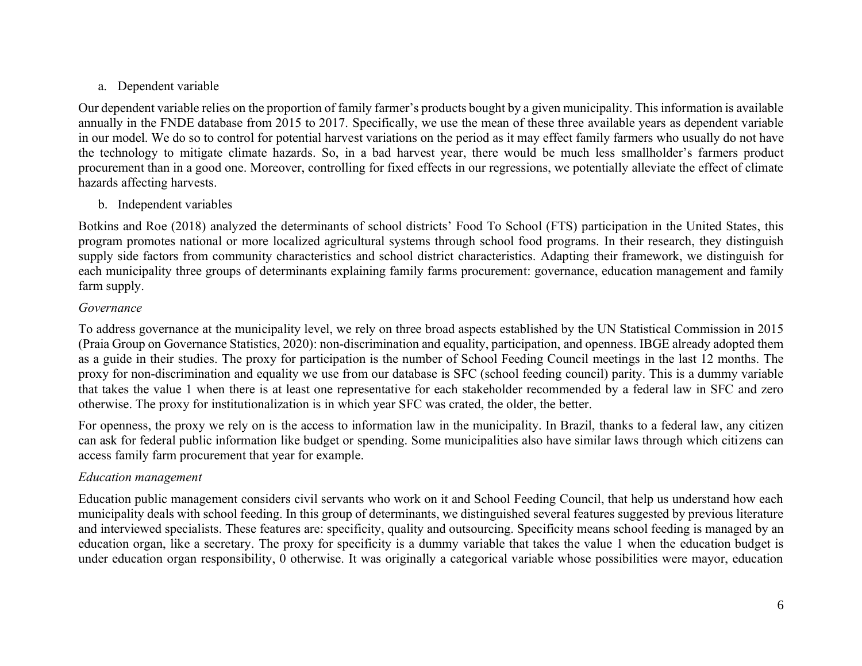# a. Dependent variable

Our dependent variable relies on the proportion of family farmer's products bought by a given municipality. This information is available annually in the FNDE database from 2015 to 2017. Specifically, we use the mean of these three available years as dependent variable in our model. We do so to control for potential harvest variations on the period as it may effect family farmers who usually do not have the technology to mitigate climate hazards. So, in a bad harvest year, there would be much less smallholder's farmers product procurement than in a good one. Moreover, controlling for fixed effects in our regressions, we potentially alleviate the effect of climate hazards affecting harvests.

# b. Independent variables

Botkins and Roe (2018) analyzed the determinants of school districts' Food To School (FTS) participation in the United States, this program promotes national or more localized agricultural systems through school food programs. In their research, they distinguish supply side factors from community characteristics and school district characteristics. Adapting their framework, we distinguish for each municipality three groups of determinants explaining family farms procurement: governance, education management and family farm supply.

## *Governance*

To address governance at the municipality level, we rely on three broad aspects established by the UN Statistical Commission in 2015 (Praia Group on Governance Statistics, 2020): non-discrimination and equality, participation, and openness. IBGE already adopted them as a guide in their studies. The proxy for participation is the number of School Feeding Council meetings in the last 12 months. The proxy for non-discrimination and equality we use from our database is SFC (school feeding council) parity. This is a dummy variable that takes the value 1 when there is at least one representative for each stakeholder recommended by a federal law in SFC and zero otherwise. The proxy for institutionalization is in which year SFC was crated, the older, the better.

For openness, the proxy we rely on is the access to information law in the municipality. In Brazil, thanks to a federal law, any citizen can ask for federal public information like budget or spending. Some municipalities also have similar laws through which citizens can access family farm procurement that year for example.

## *Education management*

Education public management considers civil servants who work on it and School Feeding Council, that help us understand how each municipality deals with school feeding. In this group of determinants, we distinguished several features suggested by previous literature and interviewed specialists. These features are: specificity, quality and outsourcing. Specificity means school feeding is managed by an education organ, like a secretary. The proxy for specificity is a dummy variable that takes the value 1 when the education budget is under education organ responsibility, 0 otherwise. It was originally a categorical variable whose possibilities were mayor, education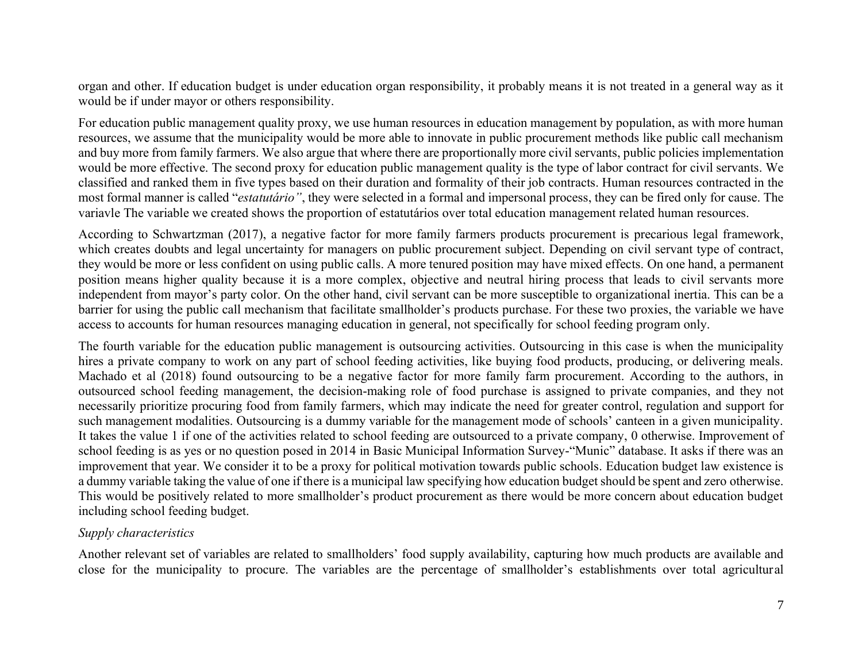organ and other. If education budget is under education organ responsibility, it probably means it is not treated in a general way as it would be if under mayor or others responsibility.

For education public management quality proxy, we use human resources in education management by population, as with more human resources, we assume that the municipality would be more able to innovate in public procurement methods like public call mechanism and buy more from family farmers. We also argue that where there are proportionally more civil servants, public policies implementation would be more effective. The second proxy for education public management quality is the type of labor contract for civil servants. We classified and ranked them in five types based on their duration and formality of their job contracts. Human resources contracted in the most formal manner is called "*estatutário"*, they were selected in a formal and impersonal process, they can be fired only for cause. The variavle The variable we created shows the proportion of estatutários over total education management related human resources.

According to Schwartzman (2017), a negative factor for more family farmers products procurement is precarious legal framework, which creates doubts and legal uncertainty for managers on public procurement subject. Depending on civil servant type of contract, they would be more or less confident on using public calls. A more tenured position may have mixed effects. On one hand, a permanent position means higher quality because it is a more complex, objective and neutral hiring process that leads to civil servants more independent from mayor's party color. On the other hand, civil servant can be more susceptible to organizational inertia. This can be a barrier for using the public call mechanism that facilitate smallholder's products purchase. For these two proxies, the variable we have access to accounts for human resources managing education in general, not specifically for school feeding program only.

The fourth variable for the education public management is outsourcing activities. Outsourcing in this case is when the municipality hires a private company to work on any part of school feeding activities, like buying food products, producing, or delivering meals. Machado et al (2018) found outsourcing to be a negative factor for more family farm procurement. According to the authors, in outsourced school feeding management, the decision-making role of food purchase is assigned to private companies, and they not necessarily prioritize procuring food from family farmers, which may indicate the need for greater control, regulation and support for such management modalities. Outsourcing is a dummy variable for the management mode of schools' canteen in a given municipality. It takes the value 1 if one of the activities related to school feeding are outsourced to a private company, 0 otherwise. Improvement of school feeding is as yes or no question posed in 2014 in Basic Municipal Information Survey-"Munic" database. It asks if there was an improvement that year. We consider it to be a proxy for political motivation towards public schools. Education budget law existence is a dummy variable taking the value of one if there is a municipal law specifying how education budget should be spent and zero otherwise. This would be positively related to more smallholder's product procurement as there would be more concern about education budget including school feeding budget.

#### *Supply characteristics*

Another relevant set of variables are related to smallholders' food supply availability, capturing how much products are available and close for the municipality to procure. The variables are the percentage of smallholder's establishments over total agricultural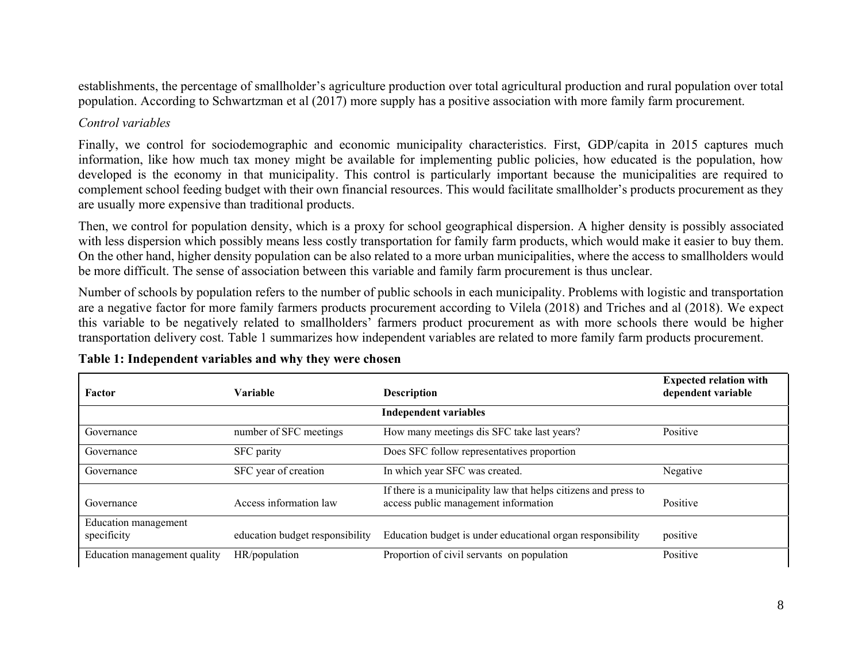establishments, the percentage of smallholder's agriculture production over total agricultural production and rural population over total population. According to Schwartzman et al (2017) more supply has a positive association with more family farm procurement.

# *Control variables*

Finally, we control for sociodemographic and economic municipality characteristics. First, GDP/capita in 2015 captures much information, like how much tax money might be available for implementing public policies, how educated is the population, how developed is the economy in that municipality. This control is particularly important because the municipalities are required to complement school feeding budget with their own financial resources. This would facilitate smallholder's products procurement as they are usually more expensive than traditional products.

Then, we control for population density, which is a proxy for school geographical dispersion. A higher density is possibly associated with less dispersion which possibly means less costly transportation for family farm products, which would make it easier to buy them. On the other hand, higher density population can be also related to a more urban municipalities, where the access to smallholders would be more difficult. The sense of association between this variable and family farm procurement is thus unclear.

Number of schools by population refers to the number of public schools in each municipality. Problems with logistic and transportation are a negative factor for more family farmers products procurement according to Vilela (2018) and Triches and al (2018). We expect this variable to be negatively related to smallholders' farmers product procurement as with more schools there would be higher transportation delivery cost. Table 1 summarizes how independent variables are related to more family farm products procurement.

| Factor                              | Variable                        | <b>Description</b>                                                                                      | <b>Expected relation with</b><br>dependent variable |  |
|-------------------------------------|---------------------------------|---------------------------------------------------------------------------------------------------------|-----------------------------------------------------|--|
|                                     |                                 | <b>Independent variables</b>                                                                            |                                                     |  |
| Governance                          | number of SFC meetings          | How many meetings dis SFC take last years?                                                              | Positive                                            |  |
| Governance                          | SFC parity                      | Does SFC follow representatives proportion                                                              |                                                     |  |
| Governance                          | SFC year of creation            | In which year SFC was created.                                                                          | Negative                                            |  |
| Governance                          | Access information law          | If there is a municipality law that helps citizens and press to<br>access public management information | Positive                                            |  |
| Education management<br>specificity | education budget responsibility | Education budget is under educational organ responsibility                                              | positive                                            |  |
| Education management quality        | HR/population                   | Proportion of civil servants on population                                                              | Positive                                            |  |

# **Table 1: Independent variables and why they were chosen**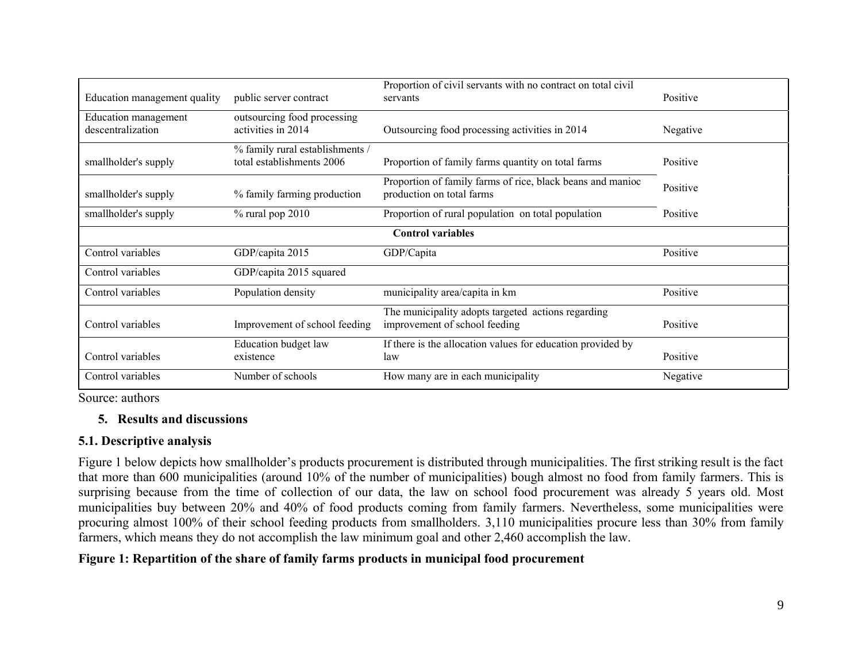| Education management quality              | public server contract                                       | Proportion of civil servants with no contract on total civil<br>servants                | Positive |  |  |  |  |
|-------------------------------------------|--------------------------------------------------------------|-----------------------------------------------------------------------------------------|----------|--|--|--|--|
| Education management<br>descentralization | outsourcing food processing<br>activities in 2014            | Outsourcing food processing activities in 2014                                          | Negative |  |  |  |  |
| smallholder's supply                      | % family rural establishments /<br>total establishments 2006 | Proportion of family farms quantity on total farms                                      | Positive |  |  |  |  |
| smallholder's supply                      | % family farming production                                  | Proportion of family farms of rice, black beans and manioc<br>production on total farms | Positive |  |  |  |  |
| smallholder's supply                      | $%$ rural pop 2010                                           | Proportion of rural population on total population                                      | Positive |  |  |  |  |
| <b>Control variables</b>                  |                                                              |                                                                                         |          |  |  |  |  |
| Control variables                         | GDP/capita 2015                                              | GDP/Capita                                                                              | Positive |  |  |  |  |
| Control variables                         | GDP/capita 2015 squared                                      |                                                                                         |          |  |  |  |  |
| Control variables                         | Population density                                           | municipality area/capita in km                                                          | Positive |  |  |  |  |
| Control variables                         | Improvement of school feeding                                | The municipality adopts targeted actions regarding<br>improvement of school feeding     | Positive |  |  |  |  |
| Control variables                         | <b>Education</b> budget law<br>existence                     | If there is the allocation values for education provided by<br>law                      | Positive |  |  |  |  |
| Control variables                         | Number of schools                                            | How many are in each municipality                                                       | Negative |  |  |  |  |

Source: authors

# **5. Results and discussions**

## **5.1. Descriptive analysis**

Figure 1 below depicts how smallholder's products procurement is distributed through municipalities. The first striking result is the fact that more than 600 municipalities (around 10% of the number of municipalities) bough almost no food from family farmers. This is surprising because from the time of collection of our data, the law on school food procurement was already 5 years old. Most municipalities buy between 20% and 40% of food products coming from family farmers. Nevertheless, some municipalities were procuring almost 100% of their school feeding products from smallholders. 3,110 municipalities procure less than 30% from family farmers, which means they do not accomplish the law minimum goal and other 2,460 accomplish the law.

## **Figure 1: Repartition of the share of family farms products in municipal food procurement**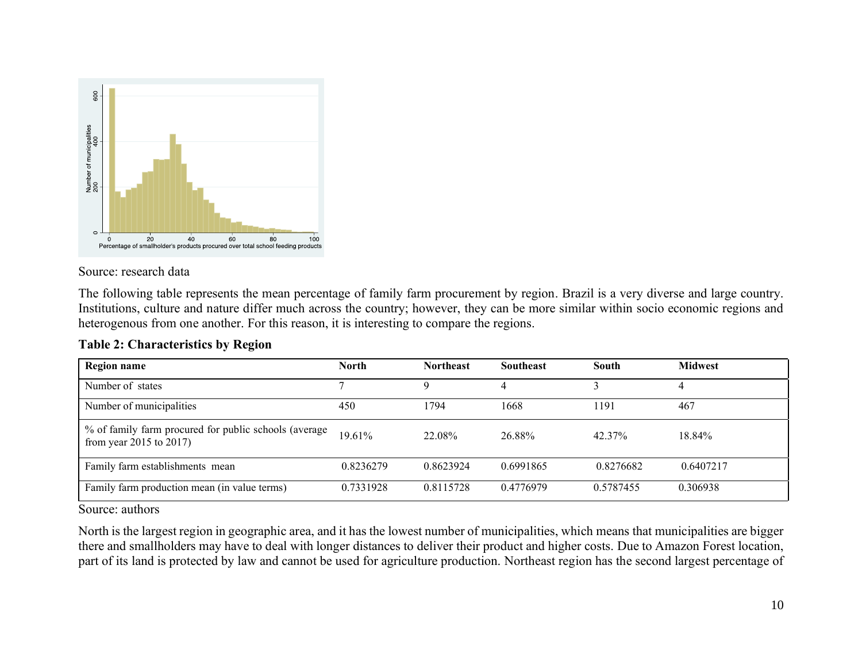

#### Source: research data

The following table represents the mean percentage of family farm procurement by region. Brazil is a very diverse and large country. Institutions, culture and nature differ much across the country; however, they can be more similar within socio economic regions and heterogenous from one another. For this reason, it is interesting to compare the regions.

| <b>Region name</b>                                                                    | <b>North</b> | <b>Northeast</b> | <b>Southeast</b> | South     | <b>Midwest</b> |
|---------------------------------------------------------------------------------------|--------------|------------------|------------------|-----------|----------------|
| Number of states                                                                      |              | Q                |                  |           | 4              |
| Number of municipalities                                                              | 450          | 1794             | 1668             | 1191      | 467            |
| % of family farm procured for public schools (average<br>from year $2015$ to $2017$ ) | 19.61%       | 22.08%           | 26.88%           | 42.37%    | 18.84%         |
| Family farm establishments mean                                                       | 0.8236279    | 0.8623924        | 0.6991865        | 0.8276682 | 0.6407217      |
| Family farm production mean (in value terms)                                          | 0.7331928    | 0.8115728        | 0.4776979        | 0.5787455 | 0.306938       |

## **Table 2: Characteristics by Region**

Source: authors

North is the largest region in geographic area, and it has the lowest number of municipalities, which means that municipalities are bigger there and smallholders may have to deal with longer distances to deliver their product and higher costs. Due to Amazon Forest location, part of its land is protected by law and cannot be used for agriculture production. Northeast region has the second largest percentage of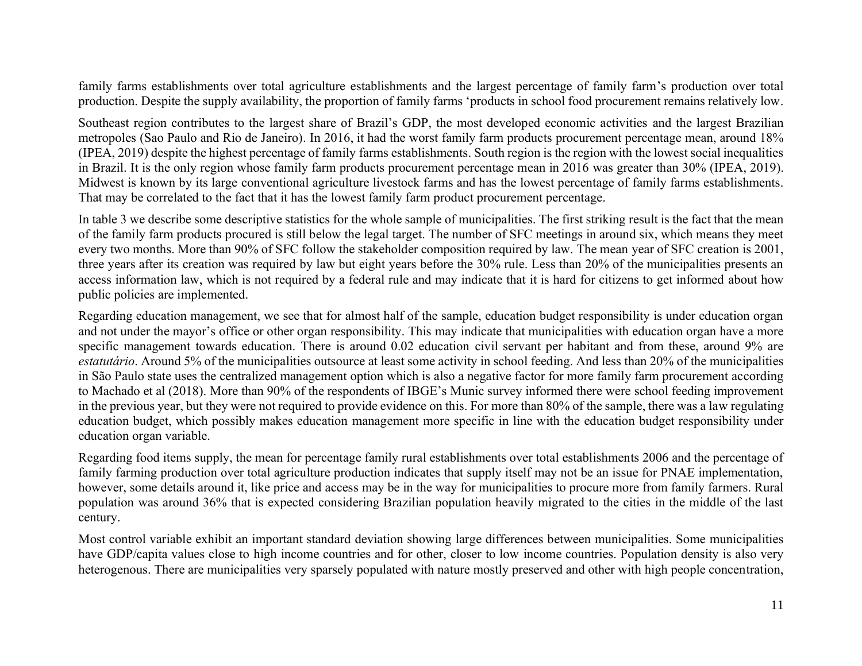family farms establishments over total agriculture establishments and the largest percentage of family farm's production over total production. Despite the supply availability, the proportion of family farms 'products in school food procurement remains relatively low.

Southeast region contributes to the largest share of Brazil's GDP, the most developed economic activities and the largest Brazilian metropoles (Sao Paulo and Rio de Janeiro). In 2016, it had the worst family farm products procurement percentage mean, around 18% (IPEA, 2019) despite the highest percentage of family farms establishments. South region is the region with the lowest social inequalities in Brazil. It is the only region whose family farm products procurement percentage mean in 2016 was greater than 30% (IPEA, 2019). Midwest is known by its large conventional agriculture livestock farms and has the lowest percentage of family farms establishments. That may be correlated to the fact that it has the lowest family farm product procurement percentage.

In table 3 we describe some descriptive statistics for the whole sample of municipalities. The first striking result is the fact that the mean of the family farm products procured is still below the legal target. The number of SFC meetings in around six, which means they meet every two months. More than 90% of SFC follow the stakeholder composition required by law. The mean year of SFC creation is 2001, three years after its creation was required by law but eight years before the 30% rule. Less than 20% of the municipalities presents an access information law, which is not required by a federal rule and may indicate that it is hard for citizens to get informed about how public policies are implemented.

Regarding education management, we see that for almost half of the sample, education budget responsibility is under education organ and not under the mayor's office or other organ responsibility. This may indicate that municipalities with education organ have a more specific management towards education. There is around 0.02 education civil servant per habitant and from these, around 9% are *estatutário*. Around 5% of the municipalities outsource at least some activity in school feeding. And less than 20% of the municipalities in São Paulo state uses the centralized management option which is also a negative factor for more family farm procurement according to Machado et al (2018). More than 90% of the respondents of IBGE's Munic survey informed there were school feeding improvement in the previous year, but they were not required to provide evidence on this. For more than 80% of the sample, there was a law regulating education budget, which possibly makes education management more specific in line with the education budget responsibility under education organ variable.

Regarding food items supply, the mean for percentage family rural establishments over total establishments 2006 and the percentage of family farming production over total agriculture production indicates that supply itself may not be an issue for PNAE implementation, however, some details around it, like price and access may be in the way for municipalities to procure more from family farmers. Rural population was around 36% that is expected considering Brazilian population heavily migrated to the cities in the middle of the last century.

Most control variable exhibit an important standard deviation showing large differences between municipalities. Some municipalities have GDP/capita values close to high income countries and for other, closer to low income countries. Population density is also very heterogenous. There are municipalities very sparsely populated with nature mostly preserved and other with high people concentration,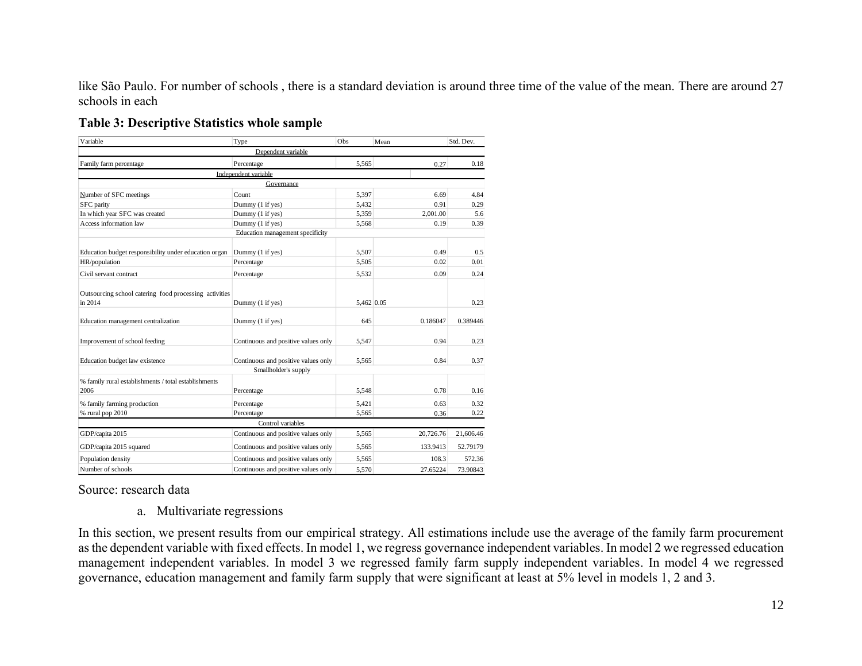like São Paulo. For number of schools , there is a standard deviation is around three time of the value of the mean. There are around 27 schools in each

| Variable                                                          | Type                                | Obs        | Mean      | Std. Dev. |
|-------------------------------------------------------------------|-------------------------------------|------------|-----------|-----------|
|                                                                   | Denendent variable                  |            |           |           |
| Family farm percentage                                            | Percentage                          | 5,565      | 0.27      | 0.18      |
|                                                                   | Independent variable                |            |           |           |
|                                                                   | Governance                          |            |           |           |
| Number of SFC meetings                                            | Count                               | 5,397      | 6.69      | 4.84      |
| <b>SFC</b> parity                                                 | Dummy (1 if yes)                    | 5,432      | 0.91      | 0.29      |
| In which year SFC was created                                     | Dummy (1 if yes)                    | 5,359      | 2.001.00  | 5.6       |
| Access information law                                            | Dummy (1 if yes)                    | 5,568      | 0.19      | 0.39      |
|                                                                   | Education management specificity    |            |           |           |
|                                                                   |                                     |            |           |           |
| Education budget responsibility under education organ             | Dummy (1 if yes)                    | 5,507      | 0.49      | 0.5       |
| HR/population                                                     | Percentage                          | 5,505      | 0.02      | 0.01      |
| Civil servant contract                                            | Percentage                          | 5,532      | 0.09      | 0.24      |
| Outsourcing school catering food processing activities<br>in 2014 | Dummy (1 if yes)                    | 5,462 0.05 |           | 0.23      |
| Education management centralization                               | Dummy (1 if yes)                    | 645        | 0.186047  | 0.389446  |
| Improvement of school feeding                                     | Continuous and positive values only | 5,547      | 0.94      | 0.23      |
| Education budget law existence                                    | Continuous and positive values only | 5.565      | 0.84      | 0.37      |
|                                                                   | Smallholder's supply                |            |           |           |
| % family rural establishments / total establishments<br>2006      | Percentage                          | 5,548      | 0.78      | 0.16      |
| % family farming production                                       | Percentage                          | 5,421      | 0.63      | 0.32      |
| % rural pop 2010                                                  | Percentage                          | 5,565      | 0.36      | 0.22      |
|                                                                   | Control variables                   |            |           |           |
| GDP/capita 2015                                                   | Continuous and positive values only | 5.565      | 20,726.76 | 21,606.46 |
| GDP/capita 2015 squared                                           | Continuous and positive values only | 5,565      | 133.9413  | 52.79179  |
| Population density                                                | Continuous and positive values only | 5,565      | 108.3     | 572.36    |
| Number of schools                                                 | Continuous and positive values only | 5,570      | 27.65224  | 73.90843  |
|                                                                   |                                     |            |           |           |

Source: research data

a. Multivariate regressions

In this section, we present results from our empirical strategy. All estimations include use the average of the family farm procurement as the dependent variable with fixed effects. In model 1, we regress governance independent variables. In model 2 we regressed education management independent variables. In model 3 we regressed family farm supply independent variables. In model 4 we regressed governance, education management and family farm supply that were significant at least at 5% level in models 1, 2 and 3.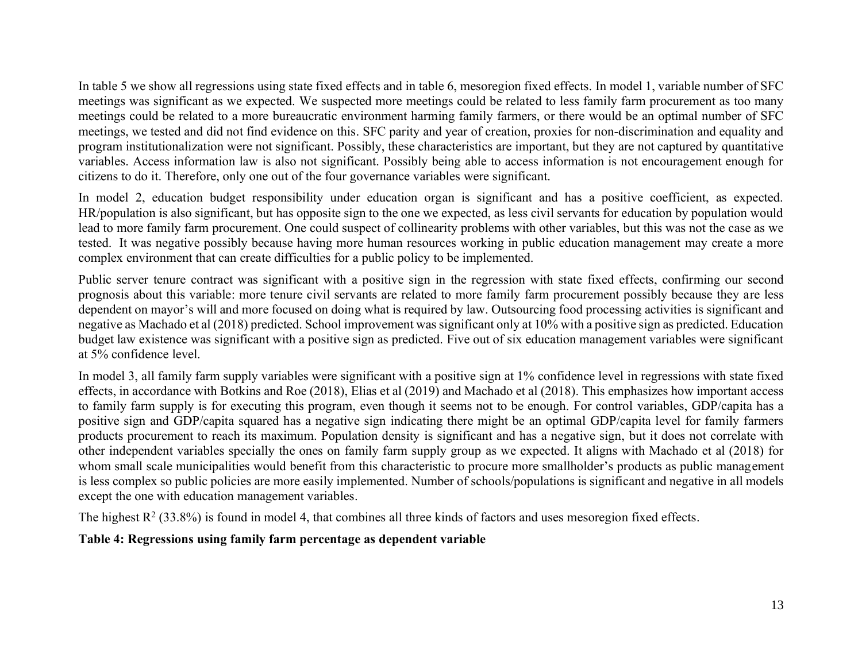In table 5 we show all regressions using state fixed effects and in table 6, mesoregion fixed effects. In model 1, variable number of SFC meetings was significant as we expected. We suspected more meetings could be related to less family farm procurement as too many meetings could be related to a more bureaucratic environment harming family farmers, or there would be an optimal number of SFC meetings, we tested and did not find evidence on this. SFC parity and year of creation, proxies for non-discrimination and equality and program institutionalization were not significant. Possibly, these characteristics are important, but they are not captured by quantitative variables. Access information law is also not significant. Possibly being able to access information is not encouragement enough for citizens to do it. Therefore, only one out of the four governance variables were significant.

In model 2, education budget responsibility under education organ is significant and has a positive coefficient, as expected. HR/population is also significant, but has opposite sign to the one we expected, as less civil servants for education by population would lead to more family farm procurement. One could suspect of collinearity problems with other variables, but this was not the case as we tested. It was negative possibly because having more human resources working in public education management may create a more complex environment that can create difficulties for a public policy to be implemented.

Public server tenure contract was significant with a positive sign in the regression with state fixed effects, confirming our second prognosis about this variable: more tenure civil servants are related to more family farm procurement possibly because they are less dependent on mayor's will and more focused on doing what is required by law. Outsourcing food processing activities is significant and negative as Machado et al (2018) predicted. School improvement was significant only at 10% with a positive sign as predicted. Education budget law existence was significant with a positive sign as predicted. Five out of six education management variables were significant at 5% confidence level.

In model 3, all family farm supply variables were significant with a positive sign at 1% confidence level in regressions with state fixed effects, in accordance with Botkins and Roe (2018), Elias et al (2019) and Machado et al (2018). This emphasizes how important access to family farm supply is for executing this program, even though it seems not to be enough. For control variables, GDP/capita has a positive sign and GDP/capita squared has a negative sign indicating there might be an optimal GDP/capita level for family farmers products procurement to reach its maximum. Population density is significant and has a negative sign, but it does not correlate with other independent variables specially the ones on family farm supply group as we expected. It aligns with Machado et al (2018) for whom small scale municipalities would benefit from this characteristic to procure more smallholder's products as public management is less complex so public policies are more easily implemented. Number of schools/populations is significant and negative in all models except the one with education management variables.

The highest  $R^2$  (33.8%) is found in model 4, that combines all three kinds of factors and uses mesoregion fixed effects.

**Table 4: Regressions using family farm percentage as dependent variable**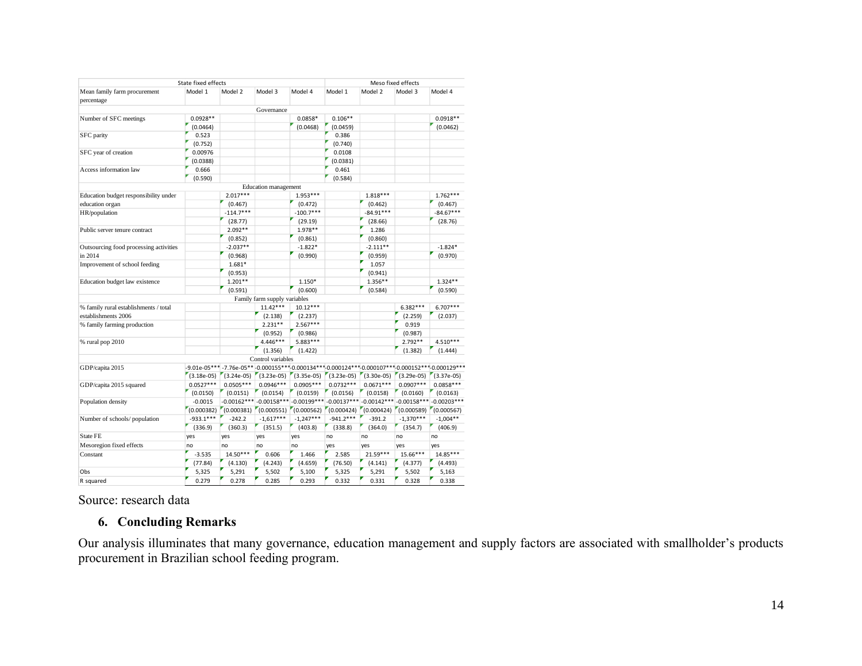|                                            | State fixed effects |                                                                                                        |                              |                                                     |                                        |                           | Meso fixed effects |               |
|--------------------------------------------|---------------------|--------------------------------------------------------------------------------------------------------|------------------------------|-----------------------------------------------------|----------------------------------------|---------------------------|--------------------|---------------|
| Mean family farm procurement<br>percentage | Model 1             | Model 2                                                                                                | Model 3                      | Model 4                                             | Model 1                                | Model 2                   | Model 3            | Model 4       |
|                                            |                     |                                                                                                        | Governance                   |                                                     |                                        |                           |                    |               |
| Number of SFC meetings                     | $0.0928**$          |                                                                                                        |                              | 0.0858*                                             | $0.106**$                              |                           |                    | $0.0918**$    |
|                                            | (0.0464)            |                                                                                                        |                              | (0.0468)                                            | (0.0459)                               |                           |                    | (0.0462)      |
| SFC parity                                 | 0.523               |                                                                                                        |                              |                                                     | 0.386                                  |                           |                    |               |
|                                            | (0.752)             |                                                                                                        |                              |                                                     | (0.740)                                |                           |                    |               |
| SFC year of creation                       | 0.00976             |                                                                                                        |                              |                                                     | 0.0108                                 |                           |                    |               |
|                                            | (0.0388)            |                                                                                                        |                              |                                                     | (0.0381)                               |                           |                    |               |
| Access information law                     | 0.666               |                                                                                                        |                              |                                                     | 0.461                                  |                           |                    |               |
|                                            | (0.590)             |                                                                                                        |                              |                                                     | (0.584)                                |                           |                    |               |
|                                            |                     |                                                                                                        | <b>Education</b> management  |                                                     |                                        |                           |                    |               |
| Education budget responsibility under      |                     | $2.017***$                                                                                             |                              | $1.953***$                                          |                                        | $1.818***$                |                    | $1.762***$    |
| education organ                            |                     | (0.467)                                                                                                |                              | (0.472)                                             |                                        | (0.462)                   |                    | (0.467)       |
| HR/population                              |                     | $-114.7***$                                                                                            |                              | $-100.7***$                                         |                                        | $-84.91***$               |                    | $-84.67***$   |
|                                            |                     | (28.77)                                                                                                |                              | (29.19)                                             |                                        | (28.66)                   |                    | (28.76)       |
| Public server tenure contract              |                     | $2.092**$                                                                                              |                              | 1.978 **                                            |                                        | 1.286                     |                    |               |
|                                            |                     | (0.852)                                                                                                |                              | (0.861)                                             |                                        | (0.860)                   |                    |               |
| Outsourcing food processing activities     |                     | $-2.037**$                                                                                             |                              | $-1.822*$                                           |                                        | $-2.111**$                |                    | $-1.824*$     |
| in 2014                                    |                     | (0.968)                                                                                                |                              | (0.990)                                             |                                        | (0.959)                   |                    | (0.970)       |
| Improvement of school feeding              |                     | $1.681*$                                                                                               |                              |                                                     |                                        | 1.057                     |                    |               |
|                                            |                     | (0.953)                                                                                                |                              |                                                     |                                        | (0.941)                   |                    |               |
| Education budget law existence             |                     | $1.201**$                                                                                              |                              | 1.150*                                              |                                        | $1.356**$                 |                    | $1.324**$     |
|                                            |                     | (0.591)                                                                                                |                              | (0.600)                                             |                                        | (0.584)                   |                    | (0.590)       |
|                                            |                     |                                                                                                        | Family farm supply variables |                                                     |                                        |                           |                    |               |
| % family rural establishments / total      |                     |                                                                                                        | $11.42***$                   | $10.12***$                                          |                                        |                           | $6.382***$         | $6.707***$    |
| establishments 2006                        |                     |                                                                                                        | (2.138)                      | (2.237)                                             |                                        |                           | (2.259)            | (2.037)       |
| % family farming production                |                     |                                                                                                        | $2.231**$                    | $2.567***$                                          |                                        |                           | 0.919              |               |
|                                            |                     |                                                                                                        | (0.952)                      | (0.986)                                             |                                        |                           | (0.987)            |               |
| % rural pop 2010                           |                     |                                                                                                        | 4.446***                     | 5.883***                                            |                                        |                           | $2.792**$          | 4.510***      |
|                                            |                     |                                                                                                        | (1.356)                      | (1.422)                                             |                                        |                           | (1.382)            | (1.444)       |
|                                            |                     |                                                                                                        | Control variables            |                                                     |                                        |                           |                    |               |
| GDP/capita 2015                            |                     | -9.01e-05*** -7.76e-05** -0.000155*** -0.000134*** -0.000124*** -0.000107*** -0.000152*** -0.000129*** |                              |                                                     |                                        |                           |                    |               |
|                                            | $(3.18e-05)$        | $(3.24e-05)$ $(3.23e-05)$                                                                              |                              |                                                     | $(3.35e-05)$ $(3.23e-05)$ $(3.30e-05)$ |                           | $(3.29e-05)$       | $(3.37e-05)$  |
| GDP/capita 2015 squared                    | $0.0527***$         | $0.0505***$                                                                                            | $0.0946***$                  | $0.0905***$                                         | $0.0732***$                            | $0.0671***$               | $0.0907***$        | $0.0858***$   |
|                                            | (0.0150)            | (0.0151)                                                                                               | (0.0154)                     | (0.0159)                                            | (0.0156)                               | (0.0158)                  | (0.0160)           | (0.0163)      |
| Population density                         | $-0.0015$           | $-0.00162***$                                                                                          | $-0.00158***$                |                                                     | $-0.00199***-0.00137***$               | $-0.00142***$             | $-0.00158***$      | $-0.00203***$ |
|                                            | (0.000382)          |                                                                                                        |                              | $(0.000381)$ $(0.000551)$ $(0.000562)$ $(0.000424)$ |                                        | $(0.000424)$ $(0.000589)$ |                    | (0.000567)    |
| Number of schools/population               | $-933.1***$         | $-242.2$                                                                                               | $-1,617***$                  | $-1,247***$                                         | $-941.2***$                            | $-391.2$                  | $-1,370***$        | $-1,004**$    |
|                                            | (336.9)             | (360.3)                                                                                                | (351.5)                      | (403.8)                                             | (338.8)                                | (364.0)                   | (354.7)            | (406.9)       |
| State FE                                   | yes                 | yes                                                                                                    | yes                          | yes                                                 | no                                     | no                        | no                 | no            |
| Mesoregion fixed effects                   | no                  | no                                                                                                     | no                           | no                                                  | yes                                    | yes                       | yes                | yes           |
| Constant                                   | $-3.535$            | $14.50***$                                                                                             | 0.606                        | 1.466                                               | 2.585                                  | 21.59***                  | 15.66***           | $14.85***$    |
|                                            |                     |                                                                                                        |                              |                                                     |                                        |                           |                    |               |
|                                            | (77.84)             | (4.130)                                                                                                | (4.243)                      | (4.659)                                             | (76.50)                                | (4.141)                   | (4.377)            | (4.493)       |
| Obs                                        | 5,325               | 5,291                                                                                                  | 5,502                        | 5,100                                               | 5,325                                  | 5,291                     | 5,502              | 5,163         |
| R squared                                  | 0.279               | 0.278                                                                                                  | 0.285                        | 0.293                                               | 0.332                                  | 0.331                     | 0.328              | 0.338         |

Source: research data

# **6. Concluding Remarks**

Our analysis illuminates that many governance, education management and supply factors are associated with smallholder's products procurement in Brazilian school feeding program.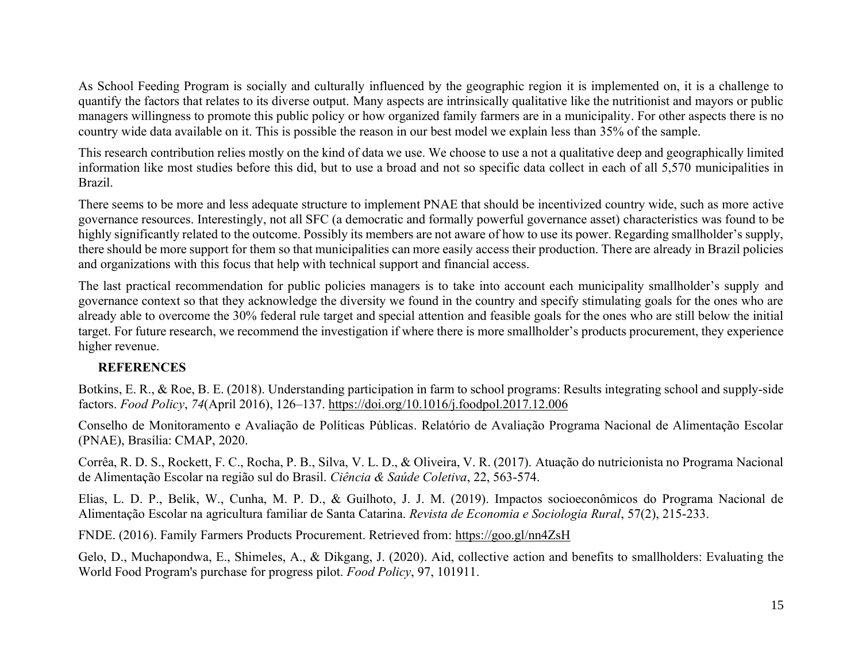As School Feeding Program is socially and culturally influenced by the geographic region it is implemented on, it is a challenge to quantify the factors that relates to its diverse output. Many aspects are intrinsically qualitative like the nutritionist and mayors or public managers willingness to promote this public policy or how organized family farmers are in a municipality. For other aspects there is no country wide data available on it. This is possible the reason in our best model we explain less than 35% of the sample.

This research contribution relies mostly on the kind of data we use. We choose to use a not a qualitative deep and geographically limited information like most studies before this did, but to use a broad and not so specific data collect in each of all 5,570 municipalities in Brazil.

There seems to be more and less adequate structure to implement PNAE that should be incentivized country wide, such as more active governance resources. Interestingly, not all SFC (a democratic and formally powerful governance asset) characteristics was found to be highly significantly related to the outcome. Possibly its members are not aware of how to use its power. Regarding smallholder's supply, there should be more support for them so that municipalities can more easily access their production. There are already in Brazil policies and organizations with this focus that help with technical support and financial access.

The last practical recommendation for public policies managers is to take into account each municipality smallholder's supply and governance context so that they acknowledge the diversity we found in the country and specify stimulating goals for the ones who are already able to overcome the 30% federal rule target and special attention and feasible goals for the ones who are still below the initial target. For future research, we recommend the investigation if where there is more smallholder's products procurement, they experience higher revenue.

# **REFERENCES**

Botkins, E. R., & Roe, B. E. (2018). Understanding participation in farm to school programs: Results integrating school and supply-side factors. *Food Policy*, *74*(April 2016), 126–137.<https://doi.org/10.1016/j.foodpol.2017.12.006>

Conselho de Monitoramento e Avaliação de Políticas Públicas. Relatório de Avaliação Programa Nacional de Alimentação Escolar (PNAE), Brasília: CMAP, 2020.

Corrêa, R. D. S., Rockett, F. C., Rocha, P. B., Silva, V. L. D., & Oliveira, V. R. (2017). Atuação do nutricionista no Programa Nacional de Alimentação Escolar na região sul do Brasil. *Ciência & Saúde Coletiva*, 22, 563-574.

Elias, L. D. P., Belik, W., Cunha, M. P. D., & Guilhoto, J. J. M. (2019). Impactos socioeconômicos do Programa Nacional de Alimentação Escolar na agricultura familiar de Santa Catarina. *Revista de Economia e Sociologia Rural*, 57(2), 215-233.

FNDE. (2016). Family Farmers Products Procurement. Retrieved from:<https://goo.gl/nn4ZsH>

Gelo, D., Muchapondwa, E., Shimeles, A., & Dikgang, J. (2020). Aid, collective action and benefits to smallholders: Evaluating the World Food Program's purchase for progress pilot. *Food Policy*, 97, 101911.